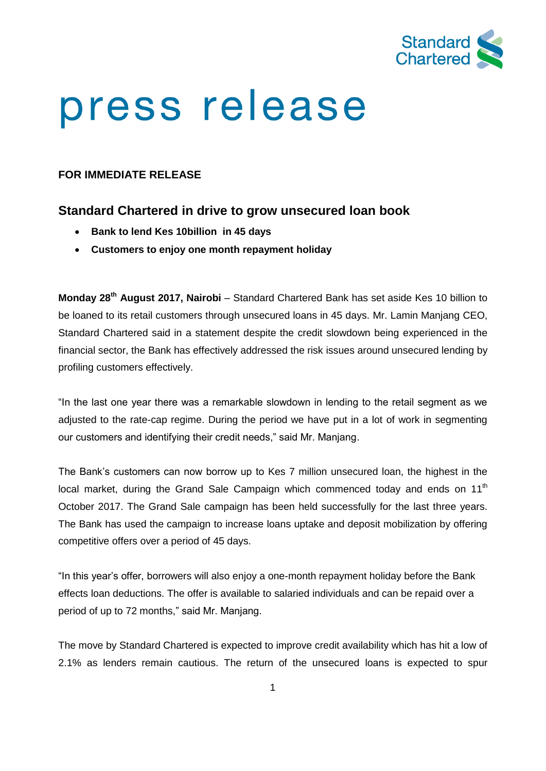

# press release

## **FOR IMMEDIATE RELEASE**

# **Standard Chartered in drive to grow unsecured loan book**

- **Bank to lend Kes 10billion in 45 days**
- **Customers to enjoy one month repayment holiday**

**Monday 28 th August 2017, Nairobi** – Standard Chartered Bank has set aside Kes 10 billion to be loaned to its retail customers through unsecured loans in 45 days. Mr. Lamin Manjang CEO, Standard Chartered said in a statement despite the credit slowdown being experienced in the financial sector, the Bank has effectively addressed the risk issues around unsecured lending by profiling customers effectively.

"In the last one year there was a remarkable slowdown in lending to the retail segment as we adjusted to the rate-cap regime. During the period we have put in a lot of work in segmenting our customers and identifying their credit needs," said Mr. Manjang.

The Bank's customers can now borrow up to Kes 7 million unsecured loan, the highest in the local market, during the Grand Sale Campaign which commenced today and ends on  $11<sup>th</sup>$ October 2017. The Grand Sale campaign has been held successfully for the last three years. The Bank has used the campaign to increase loans uptake and deposit mobilization by offering competitive offers over a period of 45 days.

"In this year's offer, borrowers will also enjoy a one-month repayment holiday before the Bank effects loan deductions. The offer is available to salaried individuals and can be repaid over a period of up to 72 months," said Mr. Manjang.

The move by Standard Chartered is expected to improve credit availability which has hit a low of 2.1% as lenders remain cautious. The return of the unsecured loans is expected to spur